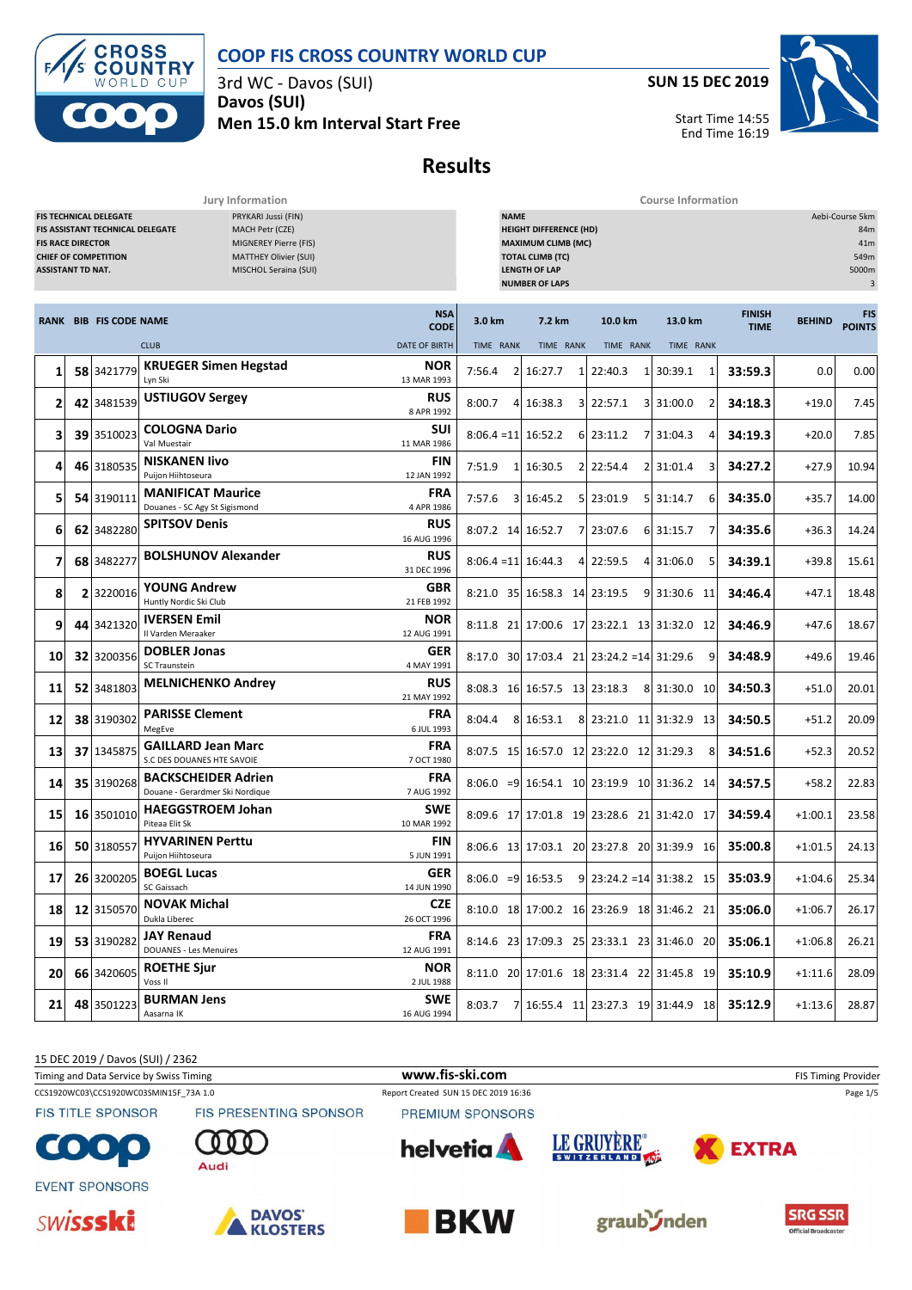

3rd WC - Davos (SUI) **Davos (SUI) Men 15.0 km Interval Start Free** **SUN 15 DEC 2019**

Start Time 14:55

End Time 16:19

**Results**

**Jury Information Course Information**

|                 | <b>FIS TECHNICAL DELEGATE</b><br>PRYKARI Jussi (FIN)<br>MACH Petr (CZE)<br>FIS ASSISTANT TECHNICAL DELEGATE<br>MIGNEREY Pierre (FIS)<br><b>FIS RACE DIRECTOR</b><br><b>CHIEF OF COMPETITION</b><br><b>MATTHEY Olivier (SUI)</b><br><b>ASSISTANT TD NAT.</b><br>MISCHOL Seraina (SUI) |                               |                                                               |                           | <b>NAME</b><br><b>HEIGHT DIFFERENCE (HD)</b><br><b>MAXIMUM CLIMB (MC)</b><br><b>TOTAL CLIMB (TC)</b><br><b>LENGTH OF LAP</b><br><b>NUMBER OF LAPS</b> |           |  |                                             |              |   |                              | Aebi-Course 5km<br>84m<br>41m<br>549m<br>5000m<br>3 |                             |  |
|-----------------|--------------------------------------------------------------------------------------------------------------------------------------------------------------------------------------------------------------------------------------------------------------------------------------|-------------------------------|---------------------------------------------------------------|---------------------------|-------------------------------------------------------------------------------------------------------------------------------------------------------|-----------|--|---------------------------------------------|--------------|---|------------------------------|-----------------------------------------------------|-----------------------------|--|
|                 |                                                                                                                                                                                                                                                                                      | <b>RANK BIB FIS CODE NAME</b> |                                                               | <b>NSA</b><br><b>CODE</b> | 3.0 km                                                                                                                                                | 7.2 km    |  | 10.0 km                                     | 13.0 km      |   | <b>FINISH</b><br><b>TIME</b> | <b>BEHIND</b>                                       | <b>FIS</b><br><b>POINTS</b> |  |
|                 |                                                                                                                                                                                                                                                                                      |                               | <b>CLUB</b>                                                   | <b>DATE OF BIRTH</b>      | TIME RANK                                                                                                                                             | TIME RANK |  | TIME RANK                                   | TIME RANK    |   |                              |                                                     |                             |  |
| 1               |                                                                                                                                                                                                                                                                                      | 58 3421779                    | <b>KRUEGER Simen Hegstad</b><br>Lyn Ski                       | NOR<br>13 MAR 1993        | 7:56.4<br>$\overline{2}$                                                                                                                              | 16:27.7   |  | 1 22:40.3                                   | 30:39.1      | 1 | 33:59.3                      | 0.0                                                 | 0.00                        |  |
| 2               |                                                                                                                                                                                                                                                                                      | 42 3481539                    | <b>USTIUGOV Sergey</b>                                        | <b>RUS</b><br>8 APR 1992  | 8:00.7                                                                                                                                                | 4 16:38.3 |  | 3 22:57.1                                   | 3 31:00.0    | 2 | 34:18.3                      | $+19.0$                                             | 7.45                        |  |
| 3               |                                                                                                                                                                                                                                                                                      | 39 3510023                    | <b>COLOGNA Dario</b><br>Val Muestair                          | SUI<br>11 MAR 1986        | $8:06.4 = 11$ 16:52.2                                                                                                                                 |           |  | 6 23:11.2                                   | 7 31:04.3    | 4 | 34:19.3                      | $+20.0$                                             | 7.85                        |  |
| 4               |                                                                                                                                                                                                                                                                                      | 46 3180535                    | <b>NISKANEN livo</b><br>Puijon Hiihtoseura                    | FIN<br>12 JAN 1992        | 7:51.9<br>$\mathbf{1}$                                                                                                                                | 16:30.5   |  | 2 22:54.4                                   | 2 31:01.4    | 3 | 34:27.2                      | $+27.9$                                             | 10.94                       |  |
| 5               |                                                                                                                                                                                                                                                                                      | 54 3190111                    | <b>MANIFICAT Maurice</b><br>Douanes - SC Agy St Sigismond     | <b>FRA</b><br>4 APR 1986  | 7:57.6                                                                                                                                                | 3 16:45.2 |  | 5 23:01.9                                   | 5 31:14.7    | 6 | 34:35.0                      | $+35.7$                                             | 14.00                       |  |
| 6               |                                                                                                                                                                                                                                                                                      | 62 3482280                    | <b>SPITSOV Denis</b>                                          | <b>RUS</b><br>16 AUG 1996 | 8:07.2 14 16:52.7                                                                                                                                     |           |  | 7 23:07.6                                   | 6 31:15.7    | 7 | 34:35.6                      | $+36.3$                                             | 14.24                       |  |
| 7               |                                                                                                                                                                                                                                                                                      | 68 3482277                    | <b>BOLSHUNOV Alexander</b>                                    | <b>RUS</b><br>31 DEC 1996 | $8:06.4 = 11$ 16:44.3                                                                                                                                 |           |  | 4 22:59.5                                   | 4 31:06.0    | 5 | 34:39.1                      | $+39.8$                                             | 15.61                       |  |
| 8               |                                                                                                                                                                                                                                                                                      | 2 3220016                     | <b>YOUNG Andrew</b><br>Huntly Nordic Ski Club                 | GBR<br>21 FEB 1992        | 8:21.0 35 16:58.3 14 23:19.5                                                                                                                          |           |  |                                             | 9 31:30.6 11 |   | 34:46.4                      | $+47.1$                                             | 18.48                       |  |
| 9               |                                                                                                                                                                                                                                                                                      | 44 3421320                    | <b>IVERSEN Emil</b><br>Il Varden Meraaker                     | <b>NOR</b><br>12 AUG 1991 |                                                                                                                                                       |           |  | 8:11.8 21 17:00.6 17 23:22.1 13 31:32.0 12  |              |   | 34:46.9                      | $+47.6$                                             | 18.67                       |  |
| 10              |                                                                                                                                                                                                                                                                                      | 32 3200356                    | <b>DOBLER Jonas</b><br>SC Traunstein                          | <b>GER</b><br>4 MAY 1991  |                                                                                                                                                       |           |  | $8:17.0$ 30 17:03.4 21 23:24.2 = 14 31:29.6 |              | 9 | 34:48.9                      | $+49.6$                                             | 19.46                       |  |
| 11              |                                                                                                                                                                                                                                                                                      | 52 3481803                    | <b>MELNICHENKO Andrey</b>                                     | <b>RUS</b><br>21 MAY 1992 | 8:08.3 16 16:57.5 13 23:18.3                                                                                                                          |           |  |                                             | 8 31:30.0 10 |   | 34:50.3                      | $+51.0$                                             | 20.01                       |  |
| 12              |                                                                                                                                                                                                                                                                                      | 38 3190302                    | <b>PARISSE Clement</b><br>MegEve                              | FRA<br>6 JUL 1993         | 8:04.4<br>8                                                                                                                                           | 16:53.1   |  | 8 23:21.0 11 31:32.9 13                     |              |   | 34:50.5                      | $+51.2$                                             | 20.09                       |  |
| 13              |                                                                                                                                                                                                                                                                                      | 37 1345875                    | <b>GAILLARD Jean Marc</b><br>S.C DES DOUANES HTE SAVOIE       | <b>FRA</b><br>7 OCT 1980  |                                                                                                                                                       |           |  | 8:07.5 15 16:57.0 12 23:22.0 12 31:29.3     |              | 8 | 34:51.6                      | $+52.3$                                             | 20.52                       |  |
| 14              |                                                                                                                                                                                                                                                                                      | 35 3190268                    | <b>BACKSCHEIDER Adrien</b><br>Douane - Gerardmer Ski Nordique | <b>FRA</b><br>7 AUG 1992  |                                                                                                                                                       |           |  | 8:06.0 = 9 16:54.1 10 23:19.9 10 31:36.2 14 |              |   | 34:57.5                      | $+58.2$                                             | 22.83                       |  |
| 15              |                                                                                                                                                                                                                                                                                      | 16 3501010                    | <b>HAEGGSTROEM Johan</b><br>Piteaa Elit Sk                    | <b>SWE</b><br>10 MAR 1992 |                                                                                                                                                       |           |  | 8:09.6 17 17:01.8 19 23:28.6 21 31:42.0 17  |              |   | 34:59.4                      | $+1:00.1$                                           | 23.58                       |  |
| 16              |                                                                                                                                                                                                                                                                                      | 50 3180557                    | <b>HYVARINEN Perttu</b><br>Puijon Hiihtoseura                 | FIN<br>5 JUN 1991         |                                                                                                                                                       |           |  | 8:06.6 13 17:03.1 20 23:27.8 20 31:39.9 16  |              |   | 35:00.8                      | $+1:01.5$                                           | 24.13                       |  |
| 17              |                                                                                                                                                                                                                                                                                      | 26 3200205                    | <b>BOEGL Lucas</b><br>SC Gaissach                             | <b>GER</b><br>14 JUN 1990 | $8:06.0$ =9 16:53.5                                                                                                                                   |           |  | $9$   23:24.2 = 14 31:38.2 15               |              |   | 35:03.9                      | $+1:04.6$                                           | 25.34                       |  |
| <b>18</b>       |                                                                                                                                                                                                                                                                                      | 12 3150570                    | <b>NOVAK Michal</b><br>Dukla Liberec                          | <b>CZE</b><br>26 OCT 1996 |                                                                                                                                                       |           |  | 8:10.0 18 17:00.2 16 23:26.9 18 31:46.2 21  |              |   | 35:06.0                      | $+1:06.7$                                           | 26.17                       |  |
| 19              |                                                                                                                                                                                                                                                                                      | 53 3190282                    | <b>JAY Renaud</b><br><b>DOUANES - Les Menuires</b>            | <b>FRA</b><br>12 AUG 1991 |                                                                                                                                                       |           |  | 8:14.6 23 17:09.3 25 23:33.1 23 31:46.0 20  |              |   | 35:06.1                      | $+1:06.8$                                           | 26.21                       |  |
| 20              |                                                                                                                                                                                                                                                                                      | 66 3420605                    | <b>ROETHE Sjur</b><br>Voss II                                 | NOR.<br>2 JUL 1988        |                                                                                                                                                       |           |  | 8:11.0 20 17:01.6 18 23:31.4 22 31:45.8 19  |              |   | 35:10.9                      | $+1:11.6$                                           | 28.09                       |  |
| 21 <sub>1</sub> |                                                                                                                                                                                                                                                                                      | 48 3501223                    | <b>BURMAN Jens</b><br>Aasarna IK                              | SWE<br>16 AUG 1994        | 8:03.7                                                                                                                                                |           |  | 7 16:55.4 11 23:27.3 19 31:44.9 18          |              |   | 35:12.9                      | $+1:13.6$                                           | 28.87                       |  |

15 DEC 2019 / Davos (SUI) / 2362

Timing and Data Service by Swiss Timing **www.fis-ski.com www.fis-ski.com** FIS Timing Provider

CCS1920WC03\CCS1920WC03SMIN15F\_73A 1.0 Report Created SUN 15 DEC 2019 16:36 Page 1/5 FIS PRESENTING SPONSOR

**FIS TITLE SPONSOR** 

 $\bullet$  $\bullet$ 







**EVENT SPONSORS** 





PREMIUM SPONSORS

**helvetia** 



LE GRUYÈRE®



**EXTRA**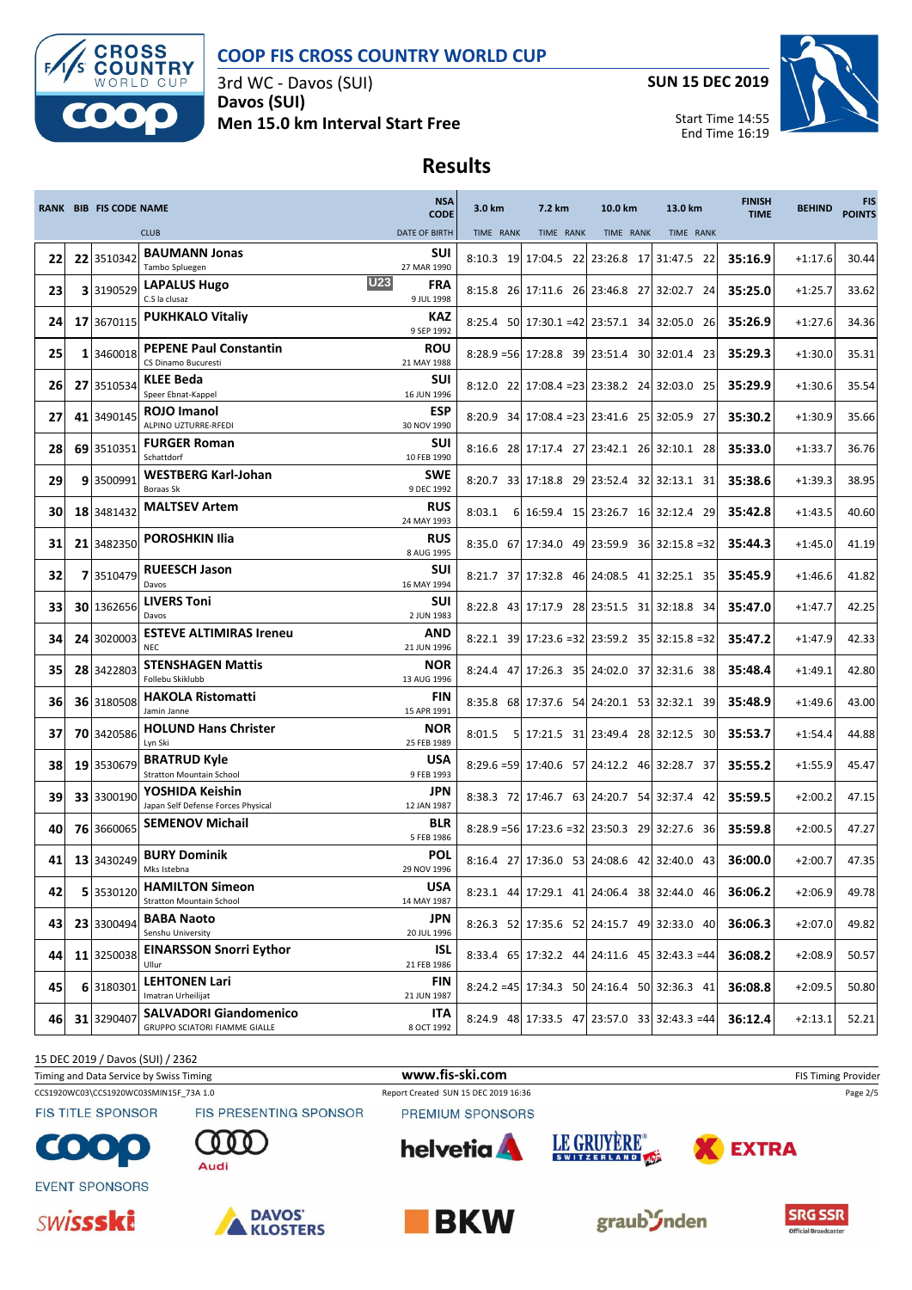

3rd WC - Davos (SUI) **Davos (SUI) Men 15.0 km Interval Start Free** **SUN 15 DEC 2019**

Start Time 14:55

End Time 16:19



### **Results**

|    | <b>RANK BIB FIS CODE NAME</b> |                                                                       | <b>NSA</b><br><b>CODE</b>              | 3.0 km    | 7.2 km    | 10.0 km                                          | 13.0 km   | <b>FINISH</b><br><b>TIME</b> | <b>BEHIND</b> | <b>FIS</b><br><b>POINTS</b> |
|----|-------------------------------|-----------------------------------------------------------------------|----------------------------------------|-----------|-----------|--------------------------------------------------|-----------|------------------------------|---------------|-----------------------------|
|    |                               | <b>CLUB</b>                                                           | <b>DATE OF BIRTH</b>                   | TIME RANK | TIME RANK | TIME RANK                                        | TIME RANK |                              |               |                             |
| 22 | 22 3510342                    | <b>BAUMANN Jonas</b><br>Tambo Spluegen                                | SUI<br>27 MAR 1990                     |           |           | 8:10.3 19 17:04.5 22 23:26.8 17 31:47.5 22       |           | 35:16.9                      | $+1:17.6$     | 30.44                       |
| 23 | 3 3190529                     | <b>LAPALUS Hugo</b><br>C.S la clusaz                                  | <b>U23</b><br><b>FRA</b><br>9 JUL 1998 |           |           | 8:15.8 26 17:11.6 26 23:46.8 27 32:02.7 24       |           | 35:25.0                      | $+1:25.7$     | 33.62                       |
| 24 | 17 3670115                    | <b>PUKHKALO Vitaliy</b>                                               | KAZ<br>9 SEP 1992                      |           |           | 8:25.4 50 17:30.1 = 42 23:57.1 34 32:05.0 26     |           | 35:26.9                      | $+1:27.6$     | 34.36                       |
| 25 | 1 3460018                     | <b>PEPENE Paul Constantin</b><br>CS Dinamo Bucuresti                  | <b>ROU</b><br>21 MAY 1988              |           |           | 8:28.9 = 56 17:28.8 39 23:51.4 30 32:01.4 23     |           | 35:29.3                      | $+1:30.0$     | 35.31                       |
| 26 | 27 3510534                    | <b>KLEE Beda</b><br>Speer Ebnat-Kappel                                | SUI<br>16 JUN 1996                     |           |           | 8:12.0 22 17:08.4 = 23 23:38.2 24 32:03.0 25     |           | 35:29.9                      | $+1:30.6$     | 35.54                       |
| 27 | 41 3490145                    | <b>ROJO Imanol</b><br>ALPINO UZTURRE-RFEDI                            | <b>ESP</b><br>30 NOV 1990              |           |           | 8:20.9 34 17:08.4 = 23 23:41.6 25 32:05.9 27     |           | 35:30.2                      | $+1:30.9$     | 35.66                       |
| 28 | 69 3510351                    | <b>FURGER Roman</b><br>Schattdorf                                     | SUI<br>10 FEB 1990                     |           |           | 8:16.6 28 17:17.4 27 23:42.1 26 32:10.1 28       |           | 35:33.0                      | $+1:33.7$     | 36.76                       |
| 29 | 9 3500991                     | <b>WESTBERG Karl-Johan</b><br>Boraas Sk                               | <b>SWE</b><br>9 DEC 1992               |           |           | 8:20.7 33 17:18.8 29 23:52.4 32 32:13.1 31       |           | 35:38.6                      | $+1:39.3$     | 38.95                       |
| 30 | 18 3481432                    | <b>MALTSEV Artem</b>                                                  | <b>RUS</b><br>24 MAY 1993              | 8:03.1    |           | 6 16:59.4 15 23:26.7 16 32:12.4 29               |           | 35:42.8                      | $+1:43.5$     | 40.60                       |
| 31 | 21 3482350                    | <b>POROSHKIN Ilia</b>                                                 | <b>RUS</b><br>8 AUG 1995               |           |           | 8:35.0 67 17:34.0 49 23:59.9 36 32:15.8 = 32     |           | 35:44.3                      | $+1:45.0$     | 41.19                       |
| 32 | 7 3510479                     | <b>RUEESCH Jason</b><br>Davos                                         | SUI<br>16 MAY 1994                     |           |           | 8:21.7 37 17:32.8 46 24:08.5 41 32:25.1 35       |           | 35:45.9                      | $+1:46.6$     | 41.82                       |
| 33 | 30 1362656                    | <b>LIVERS Toni</b><br>Davos                                           | SUI<br>2 JUN 1983                      |           |           | 8:22.8 43 17:17.9 28 23:51.5 31 32:18.8 34       |           | 35:47.0                      | $+1:47.7$     | 42.25                       |
| 34 | 24 3020003                    | <b>ESTEVE ALTIMIRAS Ireneu</b><br><b>NEC</b>                          | <b>AND</b><br>21 JUN 1996              |           |           | 8:22.1 39 17:23.6 = 32 23:59.2 35 32:15.8 = 32   |           | 35:47.2                      | $+1:47.9$     | 42.33                       |
| 35 | 28 3422803                    | <b>STENSHAGEN Mattis</b><br>Follebu Skiklubb                          | <b>NOR</b><br>13 AUG 1996              |           |           | 8:24.4 47 17:26.3 35 24:02.0 37 32:31.6 38       |           | 35:48.4                      | $+1:49.1$     | 42.80                       |
| 36 | 36 3180508                    | <b>HAKOLA Ristomatti</b><br>Jamin Janne                               | <b>FIN</b><br>15 APR 1991              |           |           | 8:35.8 68 17:37.6 54 24:20.1 53 32:32.1 39       |           | 35:48.9                      | $+1:49.6$     | 43.00                       |
| 37 | 70 3420586                    | <b>HOLUND Hans Christer</b><br>Lyn Ski                                | <b>NOR</b><br>25 FEB 1989              | 8:01.5    |           | 5 17:21.5 31 23:49.4 28 32:12.5 30               |           | 35:53.7                      | $+1:54.4$     | 44.88                       |
| 38 | 19 3530679                    | <b>BRATRUD Kyle</b><br><b>Stratton Mountain School</b>                | <b>USA</b><br>9 FEB 1993               |           |           | 8:29.6 = 59 17:40.6 57 24:12.2 46 32:28.7 37     |           | 35:55.2                      | $+1:55.9$     | 45.47                       |
| 39 | 33 3300190                    | YOSHIDA Keishin<br>Japan Self Defense Forces Physical                 | JPN<br>12 JAN 1987                     |           |           | 8:38.3 72 17:46.7 63 24:20.7 54 32:37.4 42       |           | 35:59.5                      | $+2:00.2$     | 47.15                       |
| 40 | 76 3660065                    | <b>SEMENOV Michail</b>                                                | <b>BLR</b><br>5 FEB 1986               |           |           | $8:28.9 = 56$ 17:23.6 = 32 23:50.3 29 32:27.6 36 |           | 35:59.8                      | $+2:00.5$     | 47.27                       |
| 41 | 13 3430249                    | <b>BURY Dominik</b><br>Mks Istebna                                    | <b>POL</b><br>29 NOV 1996              |           |           | 8:16.4 27 17:36.0 53 24:08.6 42 32:40.0 43       |           | 36:00.0                      | $+2:00.7$     | 47.35                       |
| 42 | 5 3530120                     | <b>HAMILTON Simeon</b><br><b>Stratton Mountain School</b>             | <b>USA</b><br>14 MAY 1987              |           |           | 8:23.1 44 17:29.1 41 24:06.4 38 32:44.0 46       |           | 36:06.2                      | $+2:06.9$     | 49.78                       |
| 43 | 23 3300494                    | <b>BABA Naoto</b><br>Senshu University                                | <b>JPN</b><br>20 JUL 1996              |           |           | 8:26.3 52 17:35.6 52 24:15.7 49 32:33.0 40       |           | 36:06.3                      | $+2:07.0$     | 49.82                       |
| 44 | 11 3250038                    | <b>EINARSSON Snorri Eythor</b><br>Ullur                               | ISL<br>21 FEB 1986                     |           |           | 8:33.4 65 17:32.2 44 24:11.6 45 32:43.3 = 44     |           | 36:08.2                      | $+2:08.9$     | 50.57                       |
| 45 | 6 3180301                     | <b>LEHTONEN Lari</b><br>Imatran Urheilijat                            | FIN<br>21 JUN 1987                     |           |           | 8:24.2 = 45 17:34.3 50 24:16.4 50 32:36.3 41     |           | 36:08.8                      | $+2:09.5$     | 50.80                       |
| 46 | 31 3290407                    | <b>SALVADORI Giandomenico</b><br><b>GRUPPO SCIATORI FIAMME GIALLE</b> | ITA<br>8 OCT 1992                      |           |           | 8:24.9 48 17:33.5 47 23:57.0 33 32:43.3 = 44     |           | 36:12.4                      | $+2:13.1$     | 52.21                       |

15 DEC 2019 / Davos (SUI) / 2362

Timing and Data Service by Swiss Timing **WWW.fis-Ski.com WWW.fis-Ski.com** FIS Timing Provider

CCS1920WC03\CCS1920WC03SMIN15F\_73A 1.0 Report Created SUN 15 DEC 2019 16:36 Page 2/5

**FIS TITLE SPONSOR** 

FIS PRESENTING SPONSOR PREMIUM SPONSORS



















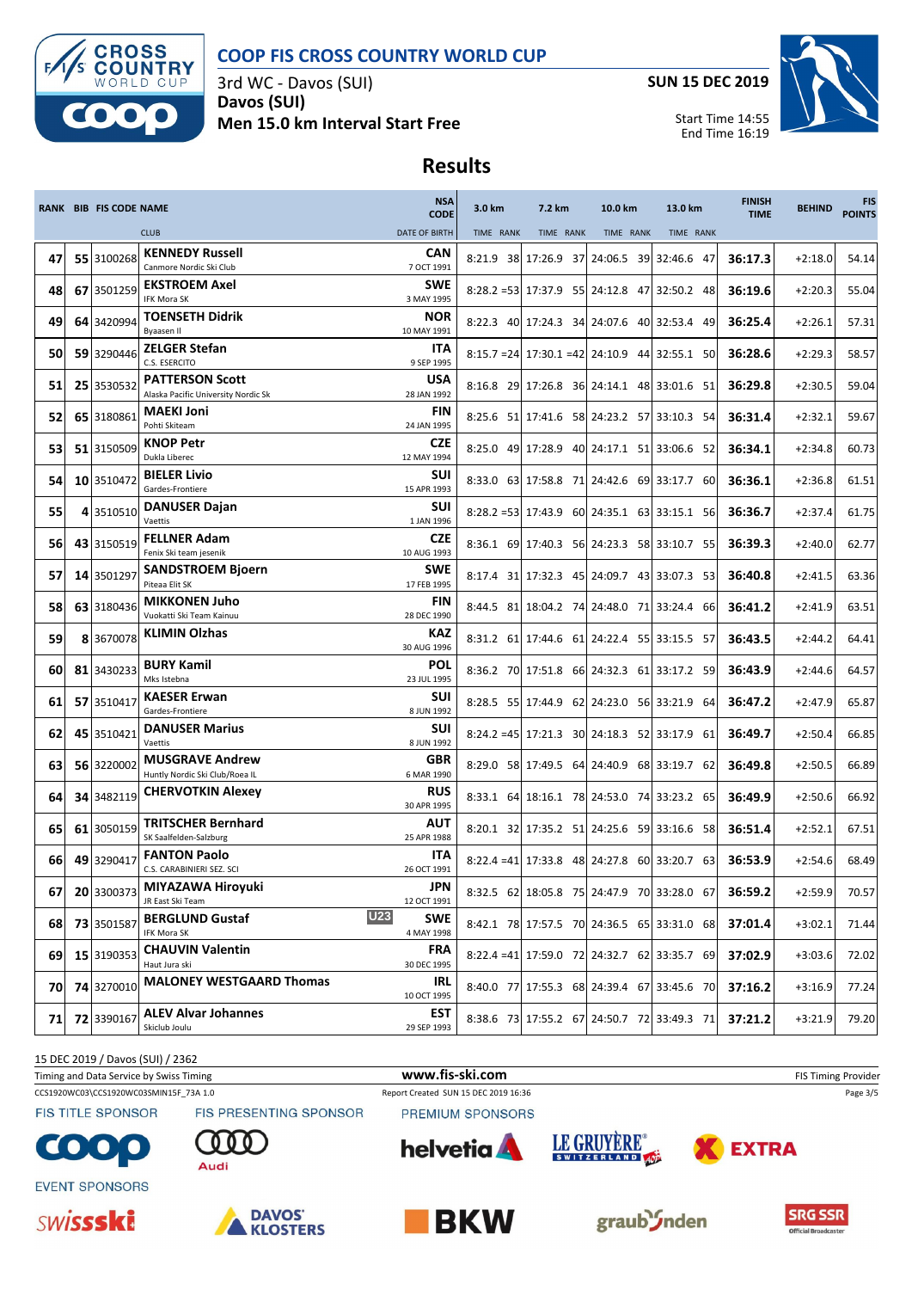

3rd WC - Davos (SUI) **Davos (SUI) Men 15.0 km Interval Start Free** **SUN 15 DEC 2019**



Start Time 14:55 End Time 16:19

# **Results**

|      | <b>RANK BIB FIS CODE NAME</b> |                                                               | <b>NSA</b><br><b>CODE</b>              | 3.0 km    | 7.2 km    | 10.0 km                                          | 13.0 km   | <b>FINISH</b><br><b>TIME</b> | <b>BEHIND</b> | <b>FIS</b><br><b>POINTS</b> |
|------|-------------------------------|---------------------------------------------------------------|----------------------------------------|-----------|-----------|--------------------------------------------------|-----------|------------------------------|---------------|-----------------------------|
|      |                               | <b>CLUB</b>                                                   | <b>DATE OF BIRTH</b>                   | TIME RANK | TIME RANK | TIME RANK                                        | TIME RANK |                              |               |                             |
| 47   | 55 3100268                    | <b>KENNEDY Russell</b><br>Canmore Nordic Ski Club             | <b>CAN</b><br>7 OCT 1991               |           |           | 8:21.9 38 17:26.9 37 24:06.5 39 32:46.6 47       |           | 36:17.3                      | $+2:18.0$     | 54.14                       |
| 48   | 67 3501259                    | <b>EKSTROEM Axel</b><br><b>IFK Mora SK</b>                    | SWE<br>3 MAY 1995                      |           |           | 8:28.2 = 53 17:37.9 55 24:12.8 47 32:50.2 48     |           | 36:19.6                      | $+2:20.3$     | 55.04                       |
| 49   | 64 3420994                    | <b>TOENSETH Didrik</b><br>Byaasen Il                          | <b>NOR</b><br>10 MAY 1991              |           |           | 8:22.3 40 17:24.3 34 24:07.6 40 32:53.4 49       |           | 36:25.4                      | $+2:26.1$     | 57.31                       |
| 50   | 59 3290446                    | <b>ZELGER Stefan</b><br>C.S. ESERCITO                         | <b>ITA</b><br>9 SEP 1995               |           |           | $8:15.7 = 24$ 17:30.1 = 42 24:10.9 44 32:55.1 50 |           | 36:28.6                      | $+2:29.3$     | 58.57                       |
| 51   | 25 3530532                    | <b>PATTERSON Scott</b><br>Alaska Pacific University Nordic Sk | <b>USA</b><br>28 JAN 1992              |           |           | 8:16.8 29 17:26.8 36 24:14.1 48 33:01.6 51       |           | 36:29.8                      | $+2:30.5$     | 59.04                       |
| 52   | 65 3180861                    | <b>MAEKI Joni</b><br>Pohti Skiteam                            | <b>FIN</b><br>24 JAN 1995              |           |           | 8:25.6 51 17:41.6 58 24:23.2 57 33:10.3 54       |           | 36:31.4                      | $+2:32.1$     | 59.67                       |
| 53   | 51 3150509                    | <b>KNOP Petr</b><br>Dukla Liberec                             | <b>CZE</b><br>12 MAY 1994              |           |           | 8:25.0 49 17:28.9 40 24:17.1 51 33:06.6 52       |           | 36:34.1                      | $+2:34.8$     | 60.73                       |
| 54   | 10 3510472                    | <b>BIELER Livio</b><br>Gardes-Frontiere                       | <b>SUI</b><br>15 APR 1993              |           |           | 8:33.0 63 17:58.8 71 24:42.6 69 33:17.7 60       |           | 36:36.1                      | $+2:36.8$     | 61.51                       |
| 55   | 4 3510510                     | <b>DANUSER Dajan</b><br>Vaettis                               | SUI<br>1 JAN 1996                      |           |           | 8:28.2 = 53 17:43.9 60 24:35.1 63 33:15.1 56     |           | 36:36.7                      | $+2:37.4$     | 61.75                       |
| 56   | 43 3150519                    | <b>FELLNER Adam</b><br>Fenix Ski team jesenik                 | <b>CZE</b><br>10 AUG 1993              |           |           | 8:36.1 69 17:40.3 56 24:23.3 58 33:10.7 55       |           | 36:39.3                      | $+2:40.0$     | 62.77                       |
| 57   | 14 3501297                    | <b>SANDSTROEM Bjoern</b><br>Piteaa Elit SK                    | SWE<br>17 FEB 1995                     |           |           | 8:17.4 31 17:32.3 45 24:09.7 43 33:07.3 53       |           | 36:40.8                      | $+2:41.5$     | 63.36                       |
| 58   | 63 3180436                    | <b>MIKKONEN Juho</b><br>Vuokatti Ski Team Kainuu              | <b>FIN</b><br>28 DEC 1990              |           |           | 8:44.5 81 18:04.2 74 24:48.0 71 33:24.4 66       |           | 36:41.2                      | $+2:41.9$     | 63.51                       |
| 59   | 8 3670078                     | <b>KLIMIN Olzhas</b>                                          | KAZ<br>30 AUG 1996                     |           |           | 8:31.2 61 17:44.6 61 24:22.4 55 33:15.5 57       |           | 36:43.5                      | $+2:44.2$     | 64.41                       |
| 60   | 81 3430233                    | <b>BURY Kamil</b><br>Mks Istebna                              | <b>POL</b><br>23 JUL 1995              |           |           | 8:36.2 70 17:51.8 66 24:32.3 61 33:17.2 59       |           | 36:43.9                      | $+2:44.6$     | 64.57                       |
| 61   | 57 3510417                    | <b>KAESER Erwan</b><br>Gardes-Frontiere                       | <b>SUI</b><br>8 JUN 1992               |           |           | 8:28.5 55 17:44.9 62 24:23.0 56 33:21.9 64       |           | 36:47.2                      | $+2:47.9$     | 65.87                       |
| 62   | 45 3510421                    | <b>DANUSER Marius</b><br>Vaettis                              | <b>SUI</b><br>8 JUN 1992               |           |           | 8:24.2 = 45 17:21.3 30 24:18.3 52 33:17.9 61     |           | 36:49.7                      | $+2:50.4$     | 66.85                       |
| 63   | 56 3220002                    | <b>MUSGRAVE Andrew</b><br>Huntly Nordic Ski Club/Roea IL      | <b>GBR</b><br>6 MAR 1990               |           |           | 8:29.0 58 17:49.5 64 24:40.9 68 33:19.7 62       |           | 36:49.8                      | $+2:50.5$     | 66.89                       |
| 64   | 34 3482119                    | <b>CHERVOTKIN Alexey</b>                                      | <b>RUS</b><br>30 APR 1995              |           |           | 8:33.1 64 18:16.1 78 24:53.0 74 33:23.2 65       |           | 36:49.9                      | $+2:50.6$     | 66.92                       |
| 65   | 61 3050159                    | <b>TRITSCHER Bernhard</b><br>SK Saalfelden-Salzburg           | AUT<br>25 APR 1988                     |           |           | 8:20.1 32 17:35.2 51 24:25.6 59 33:16.6 58       |           | 36:51.4                      | $+2:52.1$     | 67.51                       |
| 66   | 49 3290417                    | <b>FANTON Paolo</b><br>C.S. CARABINIERI SEZ. SCI              | ITA<br>26 OCT 1991                     |           |           | $8:22.4 = 41$ 17:33.8 48 24:27.8 60 33:20.7 63   |           | 36:53.9                      | $+2:54.6$     | 68.49                       |
| 67   | 20 3300373                    | MIYAZAWA Hiroyuki<br>JR East Ski Team                         | JPN<br>12 OCT 1991                     |           |           | 8:32.5 62 18:05.8 75 24:47.9 70 33:28.0 67       |           | 36:59.2                      | $+2:59.9$     | 70.57                       |
| 68   | 73 3501587                    | <b>BERGLUND Gustaf</b><br>IFK Mora SK                         | <b>U23</b><br><b>SWE</b><br>4 MAY 1998 |           |           | 8:42.1 78 17:57.5 70 24:36.5 65 33:31.0 68       |           | 37:01.4                      | $+3:02.1$     | 71.44                       |
| 69   | 15 3190353                    | <b>CHAUVIN Valentin</b><br>Haut Jura ski                      | <b>FRA</b><br>30 DEC 1995              |           |           | 8:22.4 = 41 17:59.0 72 24:32.7 62 33:35.7 69     |           | 37:02.9                      | $+3:03.6$     | 72.02                       |
| 70 I | 74 3270010                    | <b>MALONEY WESTGAARD Thomas</b>                               | IRL<br>10 OCT 1995                     |           |           | 8:40.0 77 17:55.3 68 24:39.4 67 33:45.6 70       |           | 37:16.2                      | $+3:16.9$     | 77.24                       |
| 71   | 72 3390167                    | <b>ALEV Alvar Johannes</b><br>Skiclub Joulu                   | <b>EST</b><br>29 SEP 1993              |           |           | 8:38.6 73 17:55.2 67 24:50.7 72 33:49.3 71       |           | 37:21.2                      | $+3:21.9$     | 79.20                       |

15 DEC 2019 / Davos (SUI) / 2362

CCS1920WC03\CCS1920WC03SMIN15F\_73A 1.0 Report Created SUN 15 DEC 2019 16:36 Page 3/5 Timing and Data Service by Swiss Timing **WWW.fis-Ski.com WWW.fis-Ski.com** FIS Timing Provider

Audi

**FIS TITLE SPONSOR** 

 $\bullet$ 

PREMIUM SPONSORS







**EVENT SPONSORS** 





FIS PRESENTING SPONSOR





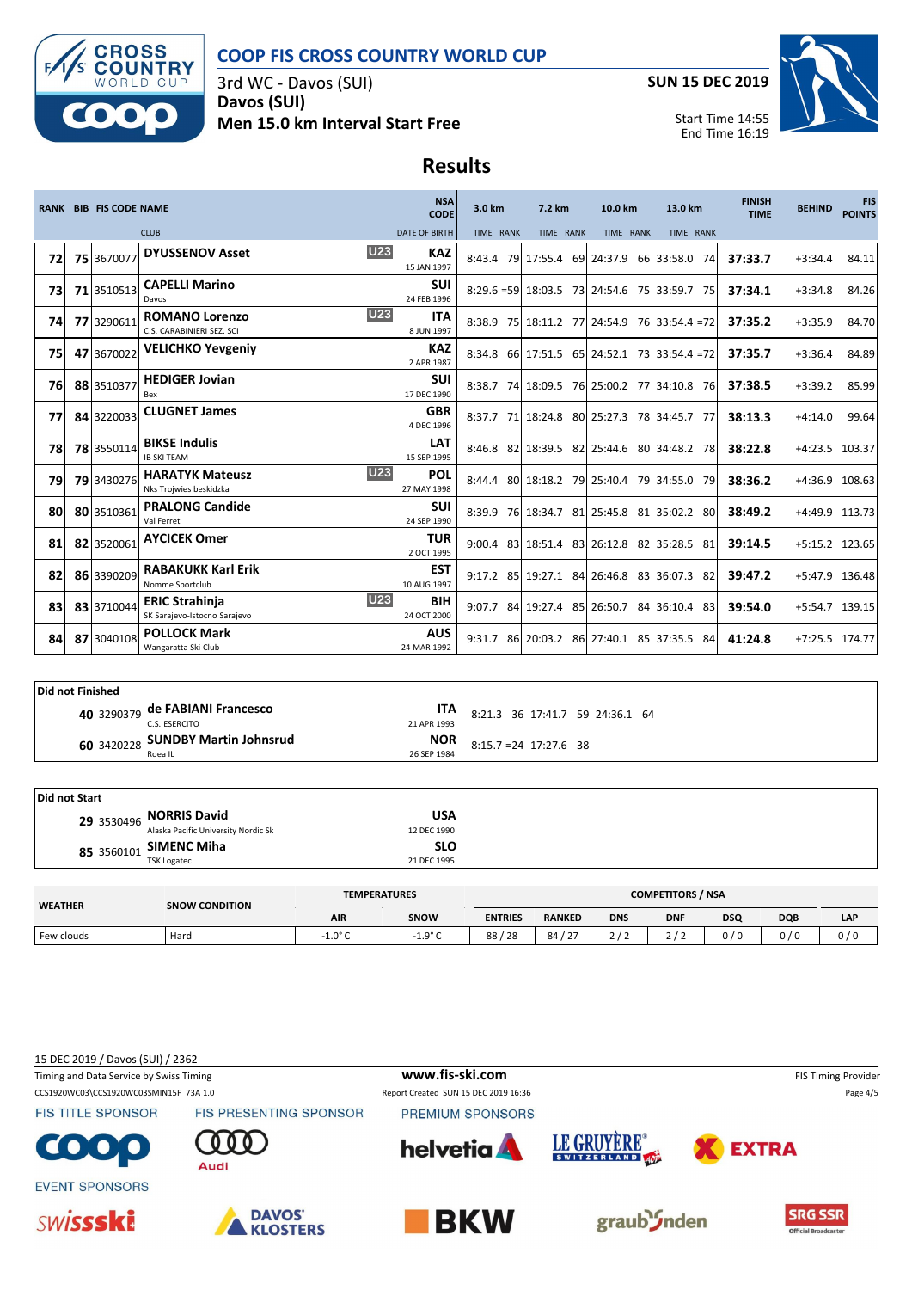

3rd WC - Davos (SUI) **Davos (SUI) Men 15.0 km Interval Start Free** **SUN 15 DEC 2019**



Start Time 14:55 End Time 16:19

# **Results**

|    |             | <b>RANK BIB FIS CODE NAME</b> |                                                       | <b>NSA</b><br><b>CODE</b>               | 3.0 km<br>7.2 km<br>10.0 km |           | 13.0 km                                      | <b>FINISH</b><br><b>TIME</b> | <b>BEHIND</b> | <b>FIS</b><br><b>POINTS</b> |        |
|----|-------------|-------------------------------|-------------------------------------------------------|-----------------------------------------|-----------------------------|-----------|----------------------------------------------|------------------------------|---------------|-----------------------------|--------|
|    | <b>CLUB</b> |                               | <b>DATE OF BIRTH</b>                                  | TIME RANK                               | TIME RANK                   | TIME RANK | TIME RANK                                    |                              |               |                             |        |
| 72 |             | 75 3670077                    | <b>DYUSSENOV Asset</b>                                | <b>U23</b><br><b>KAZ</b><br>15 JAN 1997 |                             |           | 8:43.4 79 17:55.4 69 24:37.9 66 33:58.0      | 74                           | 37:33.7       | $+3:34.4$                   | 84.11  |
| 73 |             | 71 3510513                    | <b>CAPELLI Marino</b><br>Davos                        | <b>SUI</b><br>24 FEB 1996               |                             |           | 8:29.6 = 59 18:03.5 73 24:54.6 75 33:59.7    | 75                           | 37:34.1       | $+3:34.8$                   | 84.26  |
| 74 |             | 77 3290611                    | <b>ROMANO Lorenzo</b><br>C.S. CARABINIERI SEZ. SCI    | <b>U23</b><br>ITA.<br>8 JUN 1997        |                             |           | 8:38.9 75 18:11.2 77 24:54.9 76 33:54.4 = 72 |                              | 37:35.2       | $+3:35.9$                   | 84.70  |
| 75 |             | 47 3670022                    | <b>VELICHKO Yevgeniy</b>                              | <b>KAZ</b><br>2 APR 1987                |                             |           | 8:34.8 66 17:51.5 65 24:52.1 73 33:54.4 = 72 |                              | 37:35.7       | $+3:36.4$                   | 84.89  |
| 76 |             | 88 3510377                    | <b>HEDIGER Jovian</b><br>Bex                          | <b>SUI</b><br>17 DEC 1990               |                             |           | 8:38.7 74 18:09.5 76 25:00.2 77 34:10.8 76   |                              | 37:38.5       | $+3:39.2$                   | 85.99  |
| 77 |             | 84 3220033                    | <b>CLUGNET James</b>                                  | <b>GBR</b><br>4 DEC 1996                |                             |           | 8:37.7 71 18:24.8 80 25:27.3 78 34:45.7      | - 77                         | 38:13.3       | $+4:14.0$                   | 99.64  |
| 78 |             | 78 3550114                    | <b>BIKSE Indulis</b><br><b>IB SKITEAM</b>             | <b>LAT</b><br>15 SEP 1995               |                             |           | 8:46.8 82 18:39.5 82 25:44.6 80 34:48.2 78   |                              | 38:22.8       | $+4:23.5$                   | 103.37 |
| 79 |             | 79 3430276                    | <b>HARATYK Mateusz</b><br>Nks Trojwies beskidzka      | U23<br><b>POL</b><br>27 MAY 1998        |                             |           | 8:44.4 80 18:18.2 79 25:40.4 79 34:55.0      | 79                           | 38:36.2       | $+4:36.9$                   | 108.63 |
| 80 |             | 80 3510361                    | <b>PRALONG Candide</b><br>Val Ferret                  | <b>SUI</b><br>24 SEP 1990               |                             |           | 8:39.9 76 18:34.7 81 25:45.8 81 35:02.2 80   |                              | 38:49.2       | +4:49.9 113.73              |        |
| 81 |             | 82 3520061                    | <b>AYCICEK Omer</b>                                   | <b>TUR</b><br>2 OCT 1995                |                             |           | 9:00.4 83 18:51.4 83 26:12.8 82 35:28.5      | 81                           | 39:14.5       | $+5:15.2$ 123.65            |        |
| 82 |             | 86 3390209                    | <b>RABAKUKK Karl Erik</b><br>Nomme Sportclub          | <b>EST</b><br>10 AUG 1997               |                             |           | 9:17.2 85 19:27.1 84 26:46.8 83 36:07.3      | 82                           | 39:47.2       | +5:47.9 136.48              |        |
| 83 |             | 83 3710044                    | <b>ERIC Strahinja</b><br>SK Sarajevo-Istocno Sarajevo | <b>U23</b><br><b>BIH</b><br>24 OCT 2000 |                             |           | 9:07.7 84 19:27.4 85 26:50.7 84 36:10.4 83   |                              | 39:54.0       | $+5:54.7$                   | 139.15 |
| 84 |             | 87 3040108                    | <b>POLLOCK Mark</b><br>Wangaratta Ski Club            | <b>AUS</b><br>24 MAR 1992               | 9:31.7                      |           | 86 20:03.2 86 27:40.1 85 37:35.5             | 84                           | 41:24.8       | $+7:25.5$                   | 174.77 |

| Did not Finished |  |                                                  |                           |                                 |  |  |  |  |
|------------------|--|--------------------------------------------------|---------------------------|---------------------------------|--|--|--|--|
|                  |  | 40 3290379 de FABIANI Francesco<br>C.S. ESERCITO | <b>ITA</b><br>21 APR 1993 | 8:21.3 36 17:41.7 59 24:36.1 64 |  |  |  |  |
|                  |  | 60 3420228 SUNDBY Martin Johnsrud<br>Roea IL     | <b>NOR</b><br>26 SEP 1984 | $8:15.7 = 24$ 17:27.6 38        |  |  |  |  |

| Did not Start |                                                                |             |  |  |  |
|---------------|----------------------------------------------------------------|-------------|--|--|--|
|               | 29 3530496 NORRIS David<br>Alaska Pacific University Nordic Sk | <b>USA</b>  |  |  |  |
|               |                                                                | 12 DEC 1990 |  |  |  |
|               | 85 3560101 SIMENC Miha                                         | <b>SLO</b>  |  |  |  |
|               | <b>TSK Logatec</b>                                             | 21 DEC 1995 |  |  |  |

| <b>WEATHER</b> | <b>SNOW CONDITION</b> | <b>TEMPERATURES</b> | <b>COMPETITORS / NSA</b> |                |                     |            |            |            |            |     |
|----------------|-----------------------|---------------------|--------------------------|----------------|---------------------|------------|------------|------------|------------|-----|
|                |                       | <b>AIR</b>          | SNOW                     | <b>ENTRIES</b> | <b>RANKED</b>       | <b>DNS</b> | <b>DNF</b> | <b>DSQ</b> | <b>DQB</b> | LAP |
| Few clouds     | Hard                  | $-1.0^{\circ}$ C    | $-19°C$<br>ر<br>È        | 128<br>88      | 84/27<br>$\epsilon$ |            |            | 0/0        | 0/0        | 0/0 |

15 DEC 2019 / Davos (SUI) / 2362

Timing and Data Service by Swiss Timing **WWW.fis-Ski.com WWW.fis-Ski.com** FIS Timing Provider

**FIS TITLE SPONSOR** 

 $\bullet$  ,  $\bullet$ 

CCS1920WC03\CCS1920WC03SMIN15F\_73A 1.0 Report Created SUN 15 DEC 2019 16:36 Page 4/5 PREMIUM SPONSORS











Audi

FIS PRESENTING SPONSOR